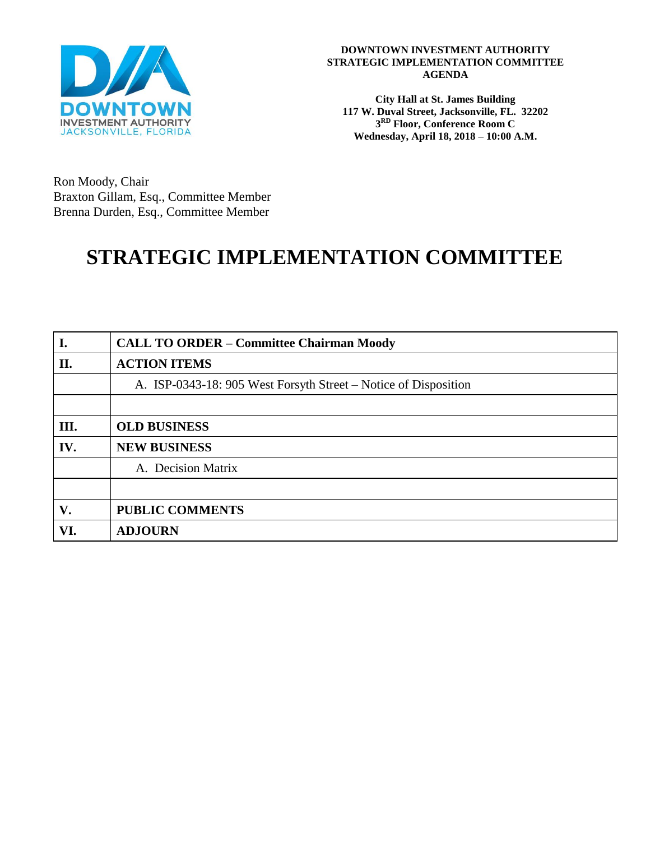

#### **DOWNTOWN INVESTMENT AUTHORITY STRATEGIC IMPLEMENTATION COMMITTEE AGENDA**

**City Hall at St. James Building 117 W. Duval Street, Jacksonville, FL. 32202 3 RD Floor, Conference Room C Wednesday, April 18, 2018 – 10:00 A.M.**

Ron Moody, Chair Braxton Gillam, Esq., Committee Member Brenna Durden, Esq., Committee Member

# **STRATEGIC IMPLEMENTATION COMMITTEE**

| I.   | <b>CALL TO ORDER - Committee Chairman Moody</b>                 |
|------|-----------------------------------------------------------------|
| II.  | <b>ACTION ITEMS</b>                                             |
|      | A. ISP-0343-18: 905 West Forsyth Street – Notice of Disposition |
|      |                                                                 |
| III. | <b>OLD BUSINESS</b>                                             |
| IV.  | <b>NEW BUSINESS</b>                                             |
|      | A. Decision Matrix                                              |
|      |                                                                 |
| V.   | <b>PUBLIC COMMENTS</b>                                          |
| VI.  | <b>ADJOURN</b>                                                  |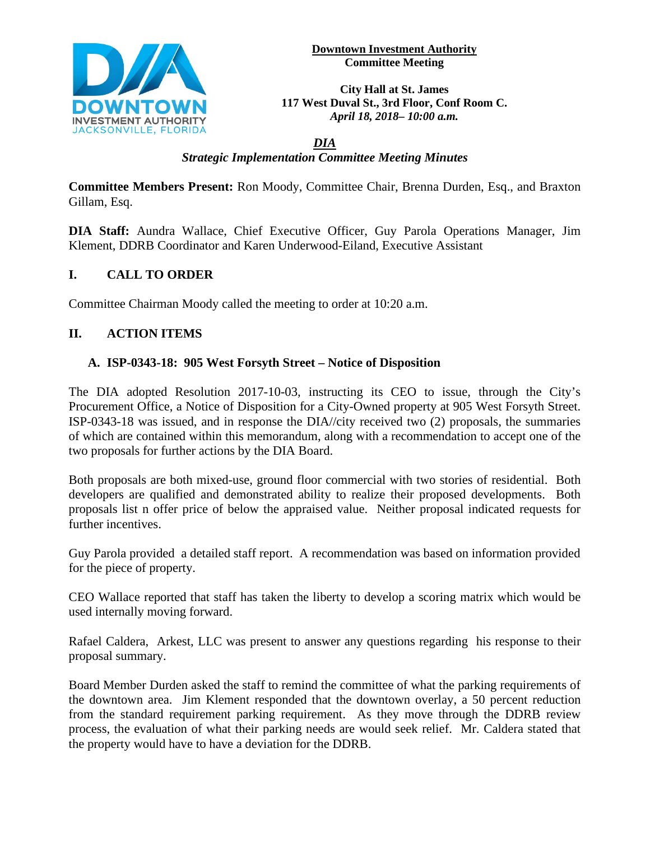

**Downtown Investment Authority Committee Meeting** 

**City Hall at St. James 117 West Duval St., 3rd Floor, Conf Room C.**  *April 18, 2018– 10:00 a.m.*

#### *DIA Strategic Implementation Committee Meeting Minutes*

**Committee Members Present:** Ron Moody, Committee Chair, Brenna Durden, Esq., and Braxton Gillam, Esq.

**DIA Staff:** Aundra Wallace, Chief Executive Officer, Guy Parola Operations Manager, Jim Klement, DDRB Coordinator and Karen Underwood-Eiland, Executive Assistant

## **I. CALL TO ORDER**

Committee Chairman Moody called the meeting to order at 10:20 a.m.

## **II. ACTION ITEMS**

#### **A. ISP-0343-18: 905 West Forsyth Street – Notice of Disposition**

The DIA adopted Resolution 2017-10-03, instructing its CEO to issue, through the City's Procurement Office, a Notice of Disposition for a City-Owned property at 905 West Forsyth Street. ISP-0343-18 was issued, and in response the DIA//city received two (2) proposals, the summaries of which are contained within this memorandum, along with a recommendation to accept one of the two proposals for further actions by the DIA Board.

Both proposals are both mixed-use, ground floor commercial with two stories of residential. Both developers are qualified and demonstrated ability to realize their proposed developments. Both proposals list n offer price of below the appraised value. Neither proposal indicated requests for further incentives.

Guy Parola provided a detailed staff report. A recommendation was based on information provided for the piece of property.

CEO Wallace reported that staff has taken the liberty to develop a scoring matrix which would be used internally moving forward.

Rafael Caldera, Arkest, LLC was present to answer any questions regarding his response to their proposal summary.

Board Member Durden asked the staff to remind the committee of what the parking requirements of the downtown area. Jim Klement responded that the downtown overlay, a 50 percent reduction from the standard requirement parking requirement. As they move through the DDRB review process, the evaluation of what their parking needs are would seek relief. Mr. Caldera stated that the property would have to have a deviation for the DDRB.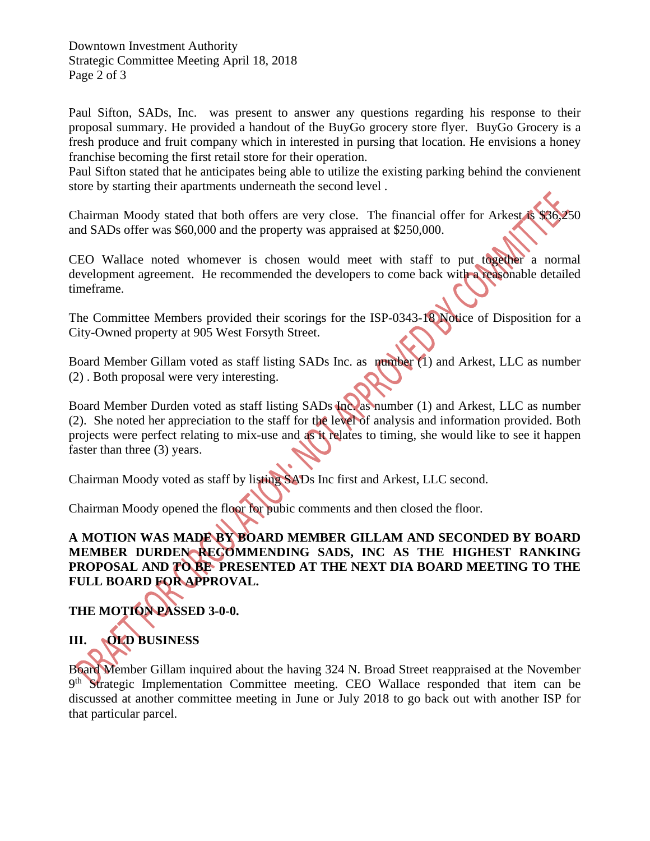Downtown Investment Authority Strategic Committee Meeting April 18, 2018 Page 2 of 3

Paul Sifton, SADs, Inc. was present to answer any questions regarding his response to their proposal summary. He provided a handout of the BuyGo grocery store flyer. BuyGo Grocery is a fresh produce and fruit company which in interested in pursing that location. He envisions a honey franchise becoming the first retail store for their operation.

Paul Sifton stated that he anticipates being able to utilize the existing parking behind the convienent store by starting their apartments underneath the second level .

Chairman Moody stated that both offers are very close. The financial offer for Arkest is \$36,250 and SADs offer was \$60,000 and the property was appraised at \$250,000.

CEO Wallace noted whomever is chosen would meet with staff to put together a normal development agreement. He recommended the developers to come back with a reasonable detailed timeframe.

The Committee Members provided their scorings for the ISP-0343-18 Notice of Disposition for a City-Owned property at 905 West Forsyth Street.

Board Member Gillam voted as staff listing SADs Inc. as number (1) and Arkest, LLC as number (2) . Both proposal were very interesting.

Board Member Durden voted as staff listing SADs Inc. as number (1) and Arkest, LLC as number (2). She noted her appreciation to the staff for the level of analysis and information provided. Both projects were perfect relating to mix-use and as it relates to timing, she would like to see it happen faster than three (3) years.

Chairman Moody voted as staff by listing SADs Inc first and Arkest, LLC second.

Chairman Moody opened the floor for pubic comments and then closed the floor.

## **A MOTION WAS MADE BY BOARD MEMBER GILLAM AND SECONDED BY BOARD MEMBER DURDEN RECOMMENDING SADS, INC AS THE HIGHEST RANKING PROPOSAL AND TO BE PRESENTED AT THE NEXT DIA BOARD MEETING TO THE FULL BOARD FOR APPROVAL.**

**THE MOTION PASSED 3-0-0.** 

## **III. OLD BUSINESS**

Board Member Gillam inquired about the having 324 N. Broad Street reappraised at the November 9<sup>th</sup> Strategic Implementation Committee meeting. CEO Wallace responded that item can be discussed at another committee meeting in June or July 2018 to go back out with another ISP for that particular parcel.